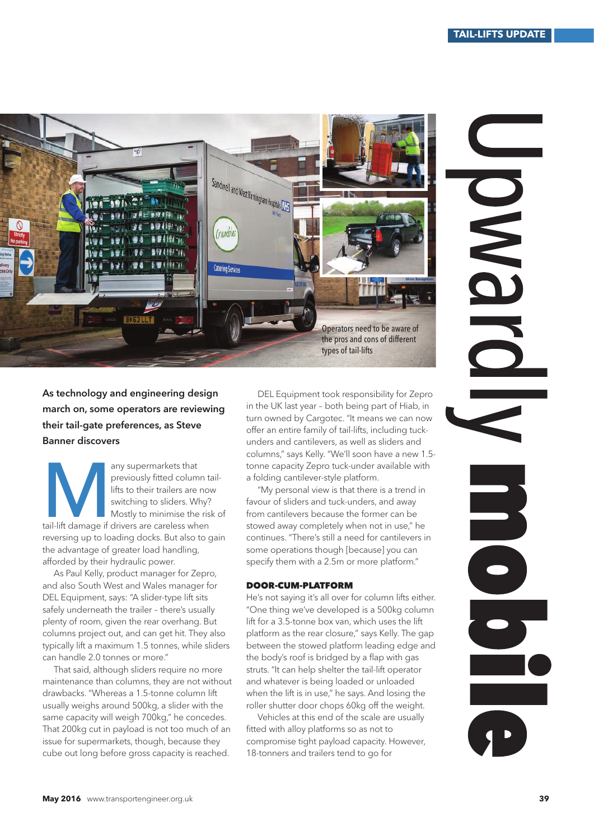



As technology and engineering design march on, some operators are reviewing their tail-gate preferences, as Steve Banner discovers

Banner discove any supermarkets that previously fitted column taillifts to their trailers are now switching to sliders. Why? Mostly to minimise the risk of tail-lift damage if drivers are careless when reversing up to loading docks. But also to gain the advantage of greater load handling, afforded by their hydraulic power.

As Paul Kelly, product manager for Zepro, and also South West and Wales manager for DEL Equipment, says: "A slider-type lift sits safely underneath the trailer – there's usually plenty of room, given the rear overhang. But columns project out, and can get hit. They also typically lift a maximum 1.5 tonnes, while sliders can handle 2.0 tonnes or more."

That said, although sliders require no more maintenance than columns, they are not without drawbacks. "Whereas a 1.5-tonne column lift usually weighs around 500kg, a slider with the same capacity will weigh 700kg," he concedes. That 200kg cut in payload is not too much of an issue for supermarkets, though, because they cube out long before gross capacity is reached.

DEL Equipment took responsibility for Zepro in the UK last year – both being part of Hiab, in turn owned by Cargotec. "It means we can now offer an entire family of tail-lifts, including tuckunders and cantilevers, as well as sliders and columns," says Kelly. "We'll soon have a new 1.5 tonne capacity Zepro tuck-under available with a folding cantilever-style platform.

"My personal view is that there is a trend in favour of sliders and tuck-unders, and away from cantilevers because the former can be stowed away completely when not in use," he continues. "There's still a need for cantilevers in some operations though [because] you can specify them with a 2.5m or more platform."

## DOOR-CUM-PLATFORM

He's not saying it's all over for column lifts either. "One thing we've developed is a 500kg column lift for a 3.5-tonne box van, which uses the lift platform as the rear closure," says Kelly. The gap between the stowed platform leading edge and the body's roof is bridged by a flap with gas struts. "It can help shelter the tail-lift operator and whatever is being loaded or unloaded when the lift is in use," he says. And losing the roller shutter door chops 60kg off the weight.

Vehicles at this end of the scale are usually fitted with alloy platforms so as not to compromise tight payload capacity. However, 18-tonners and trailers tend to go for